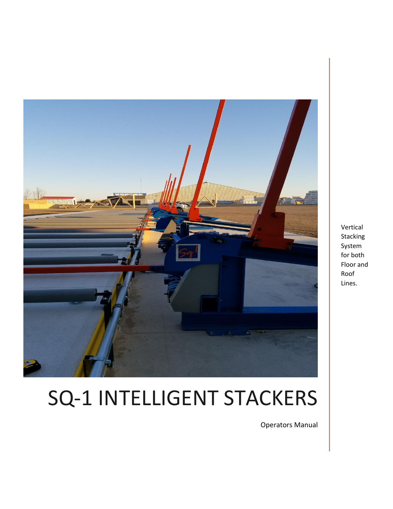

Vertical Stacking System for both Floor and Roof Lines.

# SQ-1 INTELLIGENT STACKERS

Operators Manual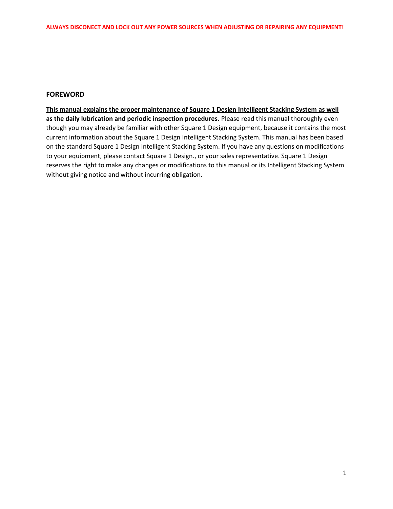#### **FOREWORD**

**This manual explains the proper maintenance of Square 1 Design Intelligent Stacking System as well as the daily lubrication and periodic inspection procedures.** Please read this manual thoroughly even though you may already be familiar with other Square 1 Design equipment, because it contains the most current information about the Square 1 Design Intelligent Stacking System. This manual has been based on the standard Square 1 Design Intelligent Stacking System. If you have any questions on modifications to your equipment, please contact Square 1 Design., or your sales representative. Square 1 Design reserves the right to make any changes or modifications to this manual or its Intelligent Stacking System without giving notice and without incurring obligation.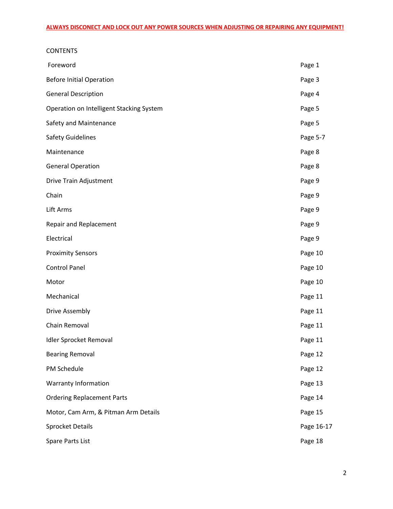# **CONTENTS** Foreword **Page 1** Before Initial Operation **Page 3** General Description **Page 4** Operation on Intelligent Stacking System **Page 5** and Contact Contact Page 5 Safety and Maintenance **Page 5** Safety Guidelines **Page 5-7** Maintenance Page 8 General Operation **Page 8** Drive Train Adjustment **Page 9** Chain **Page 9** Lift Arms Page 9 Repair and Replacement **Page 9** Electrical Page 9 Proximity Sensors **Proximity Sensors** Page 10 Control Panel **Panel** Page 10 Motor **Page 10** Mechanical Page 11 Drive Assembly **Page 11** Chain Removal **Page 11** Idler Sprocket Removal **Page 11** Bearing Removal **Page 12** PM Schedule Page 12 Warranty Information **Page 13** Ordering Replacement Parts **Page 14** and 20 and 20 and 20 and 20 and 20 and 20 and 20 and 20 and 20 and 20 and 20 and 20 and 20 and 20 and 20 and 20 and 20 and 20 and 20 and 20 and 20 and 20 and 20 and 20 and 20 and 20 and Motor, Cam Arm, & Pitman Arm Details **Page 15** and the Page 15 Sprocket Details **Page 16-17**

Spare Parts List **Page 18**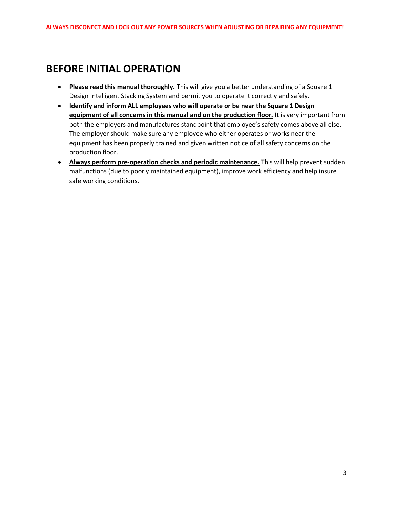# **BEFORE INITIAL OPERATION**

- **Please read this manual thoroughly.** This will give you a better understanding of a Square 1 Design Intelligent Stacking System and permit you to operate it correctly and safely.
- **Identify and inform ALL employees who will operate or be near the Square 1 Design equipment of all concerns in this manual and on the production floor.** It is very important from both the employers and manufactures standpoint that employee's safety comes above all else. The employer should make sure any employee who either operates or works near the equipment has been properly trained and given written notice of all safety concerns on the production floor.
- **Always perform pre-operation checks and periodic maintenance.** This will help prevent sudden malfunctions (due to poorly maintained equipment), improve work efficiency and help insure safe working conditions.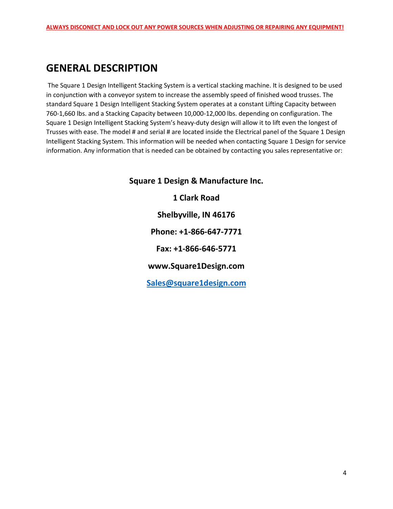# **GENERAL DESCRIPTION**

The Square 1 Design Intelligent Stacking System is a vertical stacking machine. It is designed to be used in conjunction with a conveyor system to increase the assembly speed of finished wood trusses. The standard Square 1 Design Intelligent Stacking System operates at a constant Lifting Capacity between 760-1,660 lbs. and a Stacking Capacity between 10,000-12,000 lbs. depending on configuration. The Square 1 Design Intelligent Stacking System's heavy-duty design will allow it to lift even the longest of Trusses with ease. The model # and serial # are located inside the Electrical panel of the Square 1 Design Intelligent Stacking System. This information will be needed when contacting Square 1 Design for service information. Any information that is needed can be obtained by contacting you sales representative or:

> **Square 1 Design & Manufacture Inc. 1 Clark Road Shelbyville, IN 46176 Phone: +1-866-647-7771 Fax: +1-866-646-5771 www.Square1Design.com [Sales@square1design.com](mailto:Sales@square1design.com)**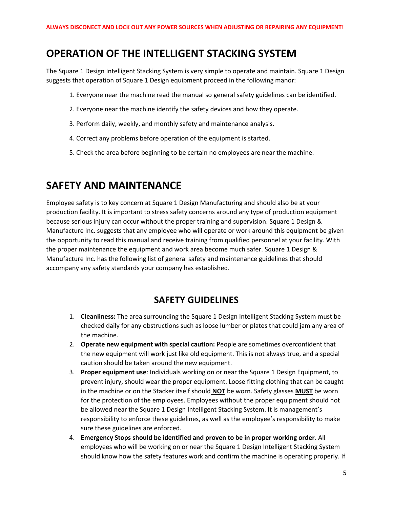# **OPERATION OF THE INTELLIGENT STACKING SYSTEM**

The Square 1 Design Intelligent Stacking System is very simple to operate and maintain. Square 1 Design suggests that operation of Square 1 Design equipment proceed in the following manor:

- 1. Everyone near the machine read the manual so general safety guidelines can be identified.
- 2. Everyone near the machine identify the safety devices and how they operate.
- 3. Perform daily, weekly, and monthly safety and maintenance analysis.
- 4. Correct any problems before operation of the equipment is started.
- 5. Check the area before beginning to be certain no employees are near the machine.

# **SAFETY AND MAINTENANCE**

Employee safety is to key concern at Square 1 Design Manufacturing and should also be at your production facility. It is important to stress safety concerns around any type of production equipment because serious injury can occur without the proper training and supervision. Square 1 Design & Manufacture Inc. suggests that any employee who will operate or work around this equipment be given the opportunity to read this manual and receive training from qualified personnel at your facility. With the proper maintenance the equipment and work area become much safer. Square 1 Design & Manufacture Inc. has the following list of general safety and maintenance guidelines that should accompany any safety standards your company has established.

# **SAFETY GUIDELINES**

- 1. **Cleanliness:** The area surrounding the Square 1 Design Intelligent Stacking System must be checked daily for any obstructions such as loose lumber or plates that could jam any area of the machine.
- 2. **Operate new equipment with special caution:** People are sometimes overconfident that the new equipment will work just like old equipment. This is not always true, and a special caution should be taken around the new equipment.
- 3. **Proper equipment use**: Individuals working on or near the Square 1 Design Equipment, to prevent injury, should wear the proper equipment. Loose fitting clothing that can be caught in the machine or on the Stacker itself should **NOT** be worn. Safety glasses **MUST** be worn for the protection of the employees. Employees without the proper equipment should not be allowed near the Square 1 Design Intelligent Stacking System. It is management's responsibility to enforce these guidelines, as well as the employee's responsibility to make sure these guidelines are enforced.
- 4. **Emergency Stops should be identified and proven to be in proper working order**. All employees who will be working on or near the Square 1 Design Intelligent Stacking System should know how the safety features work and confirm the machine is operating properly. If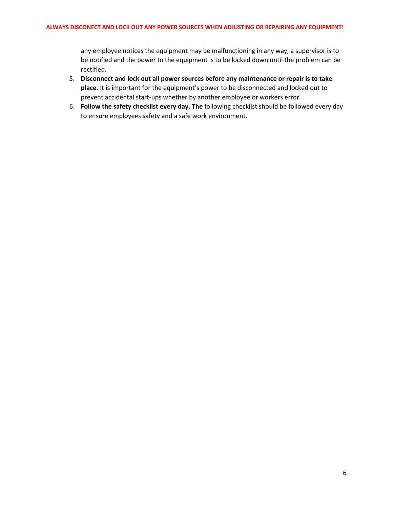any employee notices the equipment may be malfunctioning in any way, a supervisor is to be notified and the power to the equipment is to be locked down until the problem can be rectified.

- 5. **Disconnect and lock out all power sources before any maintenance or repair is to take place.** It is important for the equipment's power to be disconnected and locked out to prevent accidental start-ups whether by another employee or workers error.
- 6. **Follow the safety checklist every day. The** following checklist should be followed every day to ensure employees safety and a safe work environment.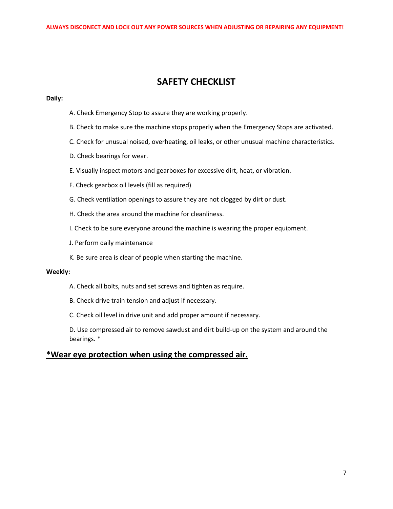## **SAFETY CHECKLIST**

#### **Daily:**

- A. Check Emergency Stop to assure they are working properly.
- B. Check to make sure the machine stops properly when the Emergency Stops are activated.
- C. Check for unusual noised, overheating, oil leaks, or other unusual machine characteristics.
- D. Check bearings for wear.
- E. Visually inspect motors and gearboxes for excessive dirt, heat, or vibration.
- F. Check gearbox oil levels (fill as required)
- G. Check ventilation openings to assure they are not clogged by dirt or dust.
- H. Check the area around the machine for cleanliness.
- I. Check to be sure everyone around the machine is wearing the proper equipment.
- J. Perform daily maintenance
- K. Be sure area is clear of people when starting the machine.

#### **Weekly:**

- A. Check all bolts, nuts and set screws and tighten as require.
- B. Check drive train tension and adjust if necessary.
- C. Check oil level in drive unit and add proper amount if necessary.

D. Use compressed air to remove sawdust and dirt build-up on the system and around the bearings. \*

#### **\*Wear eye protection when using the compressed air.**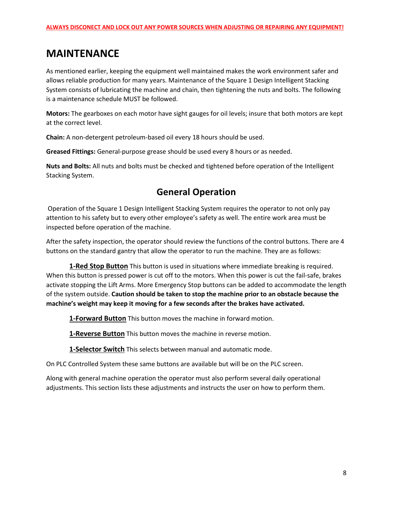# **MAINTENANCE**

As mentioned earlier, keeping the equipment well maintained makes the work environment safer and allows reliable production for many years. Maintenance of the Square 1 Design Intelligent Stacking System consists of lubricating the machine and chain, then tightening the nuts and bolts. The following is a maintenance schedule MUST be followed.

**Motors:** The gearboxes on each motor have sight gauges for oil levels; insure that both motors are kept at the correct level.

**Chain:** A non-detergent petroleum-based oil every 18 hours should be used.

**Greased Fittings:** General-purpose grease should be used every 8 hours or as needed.

**Nuts and Bolts:** All nuts and bolts must be checked and tightened before operation of the Intelligent Stacking System.

# **General Operation**

Operation of the Square 1 Design Intelligent Stacking System requires the operator to not only pay attention to his safety but to every other employee's safety as well. The entire work area must be inspected before operation of the machine.

After the safety inspection, the operator should review the functions of the control buttons. There are 4 buttons on the standard gantry that allow the operator to run the machine. They are as follows:

**1-Red Stop Button** This button is used in situations where immediate breaking is required. When this button is pressed power is cut off to the motors. When this power is cut the fail-safe, brakes activate stopping the Lift Arms. More Emergency Stop buttons can be added to accommodate the length of the system outside. **Caution should be taken to stop the machine prior to an obstacle because the machine's weight may keep it moving for a few seconds after the brakes have activated.**

**1-Forward Button** This button moves the machine in forward motion.

**1-Reverse Button** This button moves the machine in reverse motion.

**1-Selector Switch** This selects between manual and automatic mode.

On PLC Controlled System these same buttons are available but will be on the PLC screen.

Along with general machine operation the operator must also perform several daily operational adjustments. This section lists these adjustments and instructs the user on how to perform them.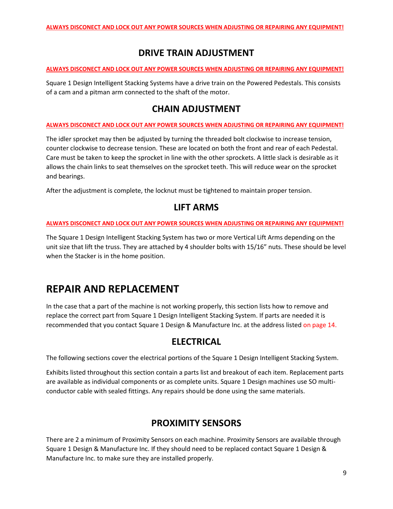# **DRIVE TRAIN ADJUSTMENT**

#### **ALWAYS DISCONECT AND LOCK OUT ANY POWER SOURCES WHEN ADJUSTING OR REPAIRING ANY EQUIPMENT!**

Square 1 Design Intelligent Stacking Systems have a drive train on the Powered Pedestals. This consists of a cam and a pitman arm connected to the shaft of the motor.

## **CHAIN ADJUSTMENT**

#### **ALWAYS DISCONECT AND LOCK OUT ANY POWER SOURCES WHEN ADJUSTING OR REPAIRING ANY EQUIPMENT!**

The idler sprocket may then be adjusted by turning the threaded bolt clockwise to increase tension, counter clockwise to decrease tension. These are located on both the front and rear of each Pedestal. Care must be taken to keep the sprocket in line with the other sprockets. A little slack is desirable as it allows the chain links to seat themselves on the sprocket teeth. This will reduce wear on the sprocket and bearings.

After the adjustment is complete, the locknut must be tightened to maintain proper tension.

# **LIFT ARMS**

#### **ALWAYS DISCONECT AND LOCK OUT ANY POWER SOURCES WHEN ADJUSTING OR REPAIRING ANY EQUIPMENT!**

The Square 1 Design Intelligent Stacking System has two or more Vertical Lift Arms depending on the unit size that lift the truss. They are attached by 4 shoulder bolts with 15/16" nuts. These should be level when the Stacker is in the home position.

# **REPAIR AND REPLACEMENT**

In the case that a part of the machine is not working properly, this section lists how to remove and replace the correct part from Square 1 Design Intelligent Stacking System. If parts are needed it is recommended that you contact Square 1 Design & Manufacture Inc. at the address listed on page 14.

### **ELECTRICAL**

The following sections cover the electrical portions of the Square 1 Design Intelligent Stacking System.

Exhibits listed throughout this section contain a parts list and breakout of each item. Replacement parts are available as individual components or as complete units. Square 1 Design machines use SO multiconductor cable with sealed fittings. Any repairs should be done using the same materials.

# **PROXIMITY SENSORS**

There are 2 a minimum of Proximity Sensors on each machine. Proximity Sensors are available through Square 1 Design & Manufacture Inc. If they should need to be replaced contact Square 1 Design & Manufacture Inc. to make sure they are installed properly.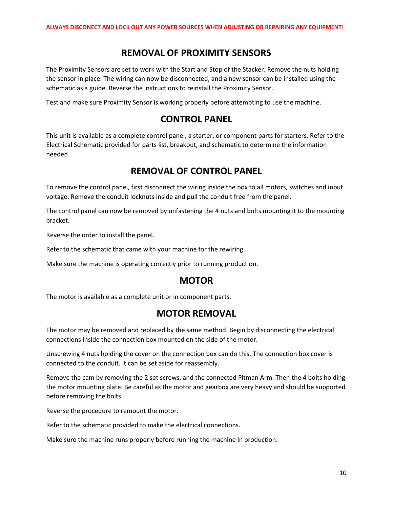#### **REMOVAL OF PROXIMITY SENSORS**

The Proximity Sensors are set to work with the Start and Stop of the Stacker. Remove the nuts holding the sensor in place. The wiring can now be disconnected, and a new sensor can be installed using the schematic as a guide. Reverse the instructions to reinstall the Proximity Sensor.

Test and make sure Proximity Sensor is working properly before attempting to use the machine.

## **CONTROL PANEL**

This unit is available as a complete control panel, a starter, or component parts for starters. Refer to the Electrical Schematic provided for parts list, breakout, and schematic to determine the information needed.

### **REMOVAL OF CONTROL PANEL**

To remove the control panel, first disconnect the wiring inside the box to all motors, switches and input voltage. Remove the conduit locknuts inside and pull the conduit free from the panel.

The control panel can now be removed by unfastening the 4 nuts and bolts mounting it to the mounting bracket.

Reverse the order to install the panel.

Refer to the schematic that came with your machine for the rewiring.

Make sure the machine is operating correctly prior to running production.

#### **MOTOR**

The motor is available as a complete unit or in component parts.

### **MOTOR REMOVAL**

The motor may be removed and replaced by the same method. Begin by disconnecting the electrical connections inside the connection box mounted on the side of the motor.

Unscrewing 4 nuts holding the cover on the connection box can do this. The connection box cover is connected to the conduit. It can be set aside for reassembly.

Remove the cam by removing the 2 set screws, and the connected Pitman Arm. Then the 4 bolts holding the motor mounting plate. Be careful as the motor and gearbox are very heavy and should be supported before removing the bolts.

Reverse the procedure to remount the motor.

Refer to the schematic provided to make the electrical connections.

Make sure the machine runs properly before running the machine in production.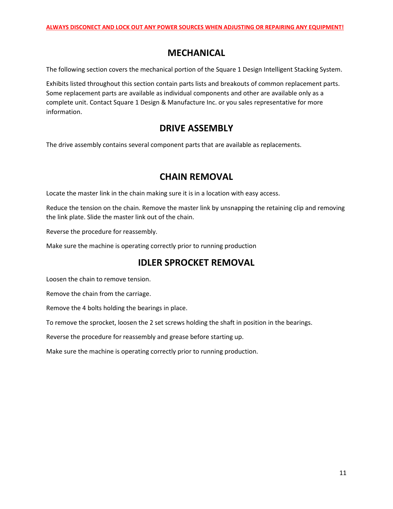## **MECHANICAL**

The following section covers the mechanical portion of the Square 1 Design Intelligent Stacking System.

Exhibits listed throughout this section contain parts lists and breakouts of common replacement parts. Some replacement parts are available as individual components and other are available only as a complete unit. Contact Square 1 Design & Manufacture Inc. or you sales representative for more information.

#### **DRIVE ASSEMBLY**

The drive assembly contains several component parts that are available as replacements.

### **CHAIN REMOVAL**

Locate the master link in the chain making sure it is in a location with easy access.

Reduce the tension on the chain. Remove the master link by unsnapping the retaining clip and removing the link plate. Slide the master link out of the chain.

Reverse the procedure for reassembly.

Make sure the machine is operating correctly prior to running production

### **IDLER SPROCKET REMOVAL**

Loosen the chain to remove tension.

Remove the chain from the carriage.

Remove the 4 bolts holding the bearings in place.

To remove the sprocket, loosen the 2 set screws holding the shaft in position in the bearings.

Reverse the procedure for reassembly and grease before starting up.

Make sure the machine is operating correctly prior to running production.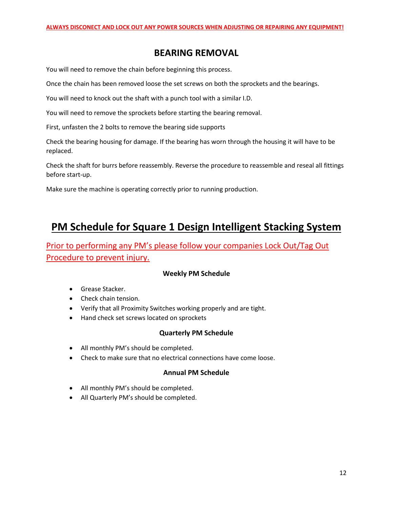## **BEARING REMOVAL**

You will need to remove the chain before beginning this process.

Once the chain has been removed loose the set screws on both the sprockets and the bearings.

You will need to knock out the shaft with a punch tool with a similar I.D.

You will need to remove the sprockets before starting the bearing removal.

First, unfasten the 2 bolts to remove the bearing side supports

Check the bearing housing for damage. If the bearing has worn through the housing it will have to be replaced.

Check the shaft for burrs before reassembly. Reverse the procedure to reassemble and reseal all fittings before start-up.

Make sure the machine is operating correctly prior to running production.

# **PM Schedule for Square 1 Design Intelligent Stacking System**

Prior to performing any PM's please follow your companies Lock Out/Tag Out Procedure to prevent injury.

#### **Weekly PM Schedule**

- Grease Stacker.
- Check chain tension.
- Verify that all Proximity Switches working properly and are tight.
- Hand check set screws located on sprockets

#### **Quarterly PM Schedule**

- All monthly PM's should be completed.
- Check to make sure that no electrical connections have come loose.

#### **Annual PM Schedule**

- All monthly PM's should be completed.
- All Quarterly PM's should be completed.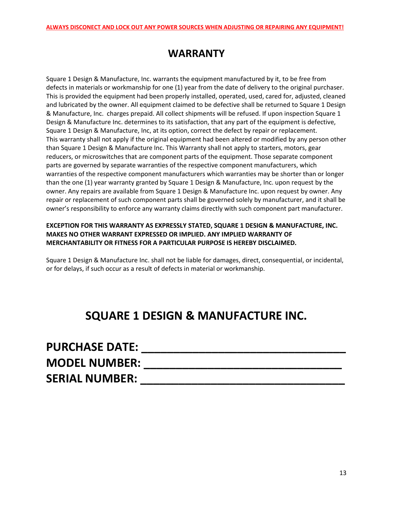# **WARRANTY**

Square 1 Design & Manufacture, Inc. warrants the equipment manufactured by it, to be free from defects in materials or workmanship for one (1) year from the date of delivery to the original purchaser. This is provided the equipment had been properly installed, operated, used, cared for, adjusted, cleaned and lubricated by the owner. All equipment claimed to be defective shall be returned to Square 1 Design & Manufacture, Inc. charges prepaid. All collect shipments will be refused. If upon inspection Square 1 Design & Manufacture Inc. determines to its satisfaction, that any part of the equipment is defective, Square 1 Design & Manufacture, Inc, at its option, correct the defect by repair or replacement. This warranty shall not apply if the original equipment had been altered or modified by any person other than Square 1 Design & Manufacture Inc. This Warranty shall not apply to starters, motors, gear reducers, or microswitches that are component parts of the equipment. Those separate component parts are governed by separate warranties of the respective component manufacturers, which warranties of the respective component manufacturers which warranties may be shorter than or longer than the one (1) year warranty granted by Square 1 Design & Manufacture, Inc. upon request by the owner. Any repairs are available from Square 1 Design & Manufacture Inc. upon request by owner. Any repair or replacement of such component parts shall be governed solely by manufacturer, and it shall be owner's responsibility to enforce any warranty claims directly with such component part manufacturer.

#### **EXCEPTION FOR THIS WARRANTY AS EXPRESSLY STATED, SQUARE 1 DESIGN & MANUFACTURE, INC. MAKES NO OTHER WARRANT EXPRESSED OR IMPLIED. ANY IMPLIED WARRANTY OF MERCHANTABILITY OR FITNESS FOR A PARTICULAR PURPOSE IS HEREBY DISCLAIMED.**

Square 1 Design & Manufacture Inc. shall not be liable for damages, direct, consequential, or incidental, or for delays, if such occur as a result of defects in material or workmanship.

# **SQUARE 1 DESIGN & MANUFACTURE INC.**

| <b>PURCHASE DATE:</b> |  |
|-----------------------|--|
| <b>MODEL NUMBER:</b>  |  |
| <b>SERIAL NUMBER:</b> |  |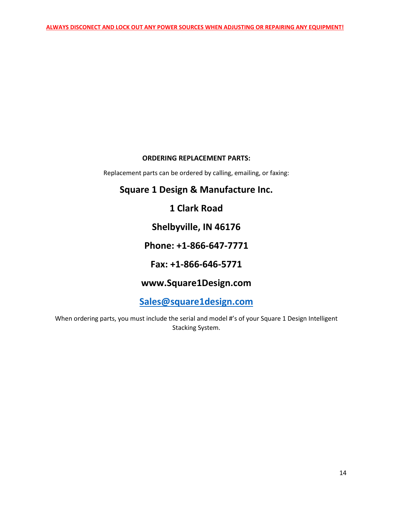#### **ORDERING REPLACEMENT PARTS:**

Replacement parts can be ordered by calling, emailing, or faxing:

## **Square 1 Design & Manufacture Inc.**

**1 Clark Road**

**Shelbyville, IN 46176**

**Phone: +1-866-647-7771**

**Fax: +1-866-646-5771**

# **www.Square1Design.com**

**[Sales@square1design.com](mailto:Sales@square1design.com)**

When ordering parts, you must include the serial and model #'s of your Square 1 Design Intelligent Stacking System.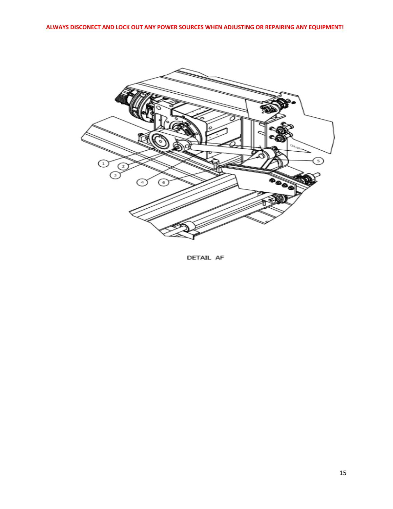

DETAIL AF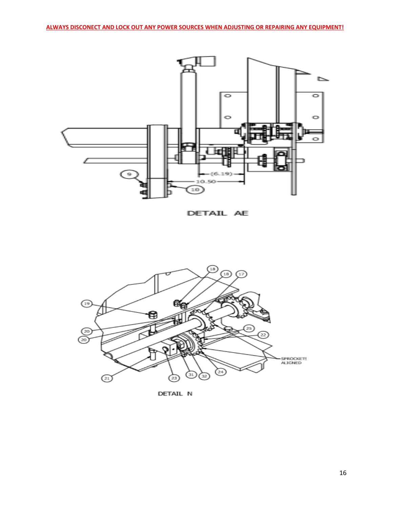

DETAIL AE



DETAIL N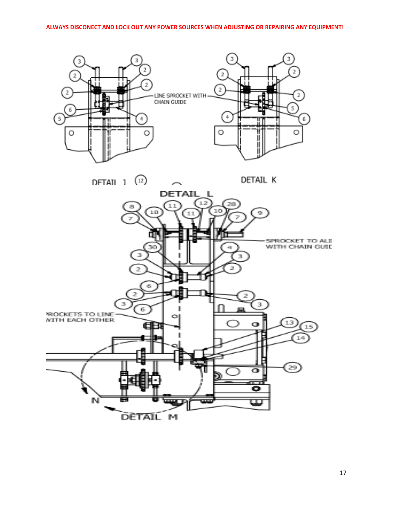



17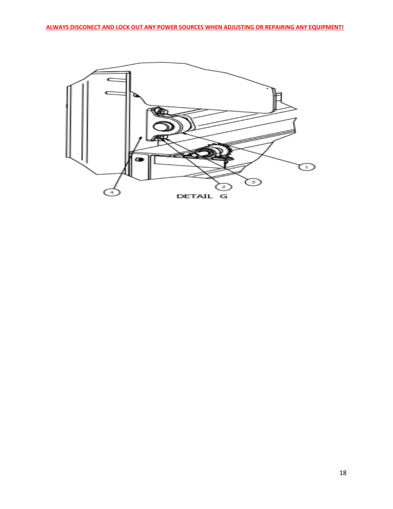